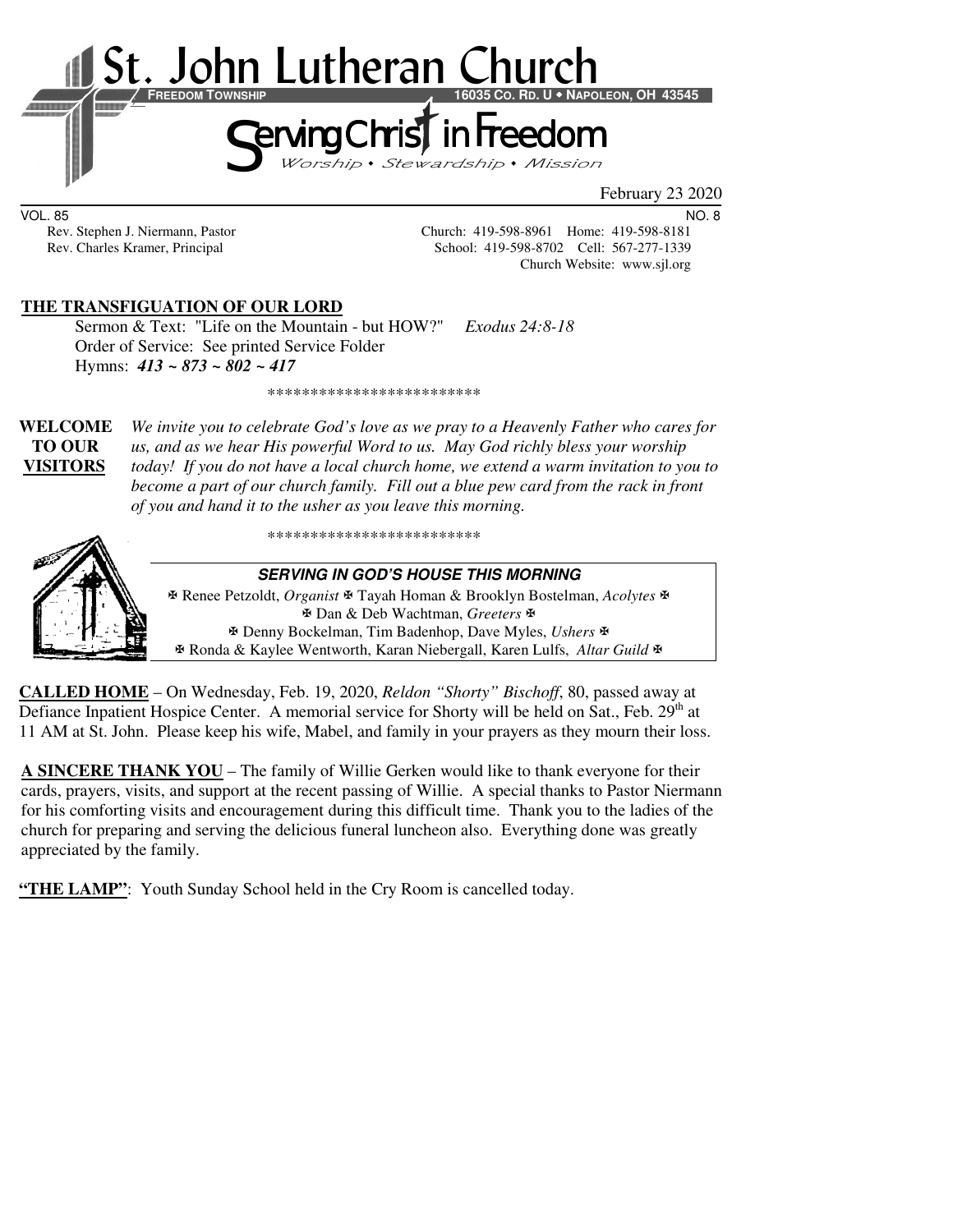

VOL. 85 NO. 8

Rev. Stephen J. Niermann, Pastor Church: 419-598-8961 Home: 419-598-8181<br>Rev. Charles Kramer, Principal School: 419-598-8702 Cell: 567-277-1339 School: 419-598-8702 Cell: 567-277-1339 Church Website: www.sjl.org

# **THE TRANSFIGUATION OF OUR LORD**

Sermon & Text: "Life on the Mountain - but HOW?" *Exodus 24:8-18* Order of Service: See printed Service Folder Hymns: *413 ~ 873 ~ 802 ~ 417*

\*\*\*\*\*\*\*\*\*\*\*\*\*\*\*\*\*\*\*\*\*\*\*\*\*

**WELCOME** *We invite you to celebrate God's love as we pray to a Heavenly Father who cares for* **TO OUR** *us, and as we hear His powerful Word to us. May God richly bless your worship*  **VISITORS** *today! If you do not have a local church home, we extend a warm invitation to you to become a part of our church family. Fill out a blue pew card from the rack in front of you and hand it to the usher as you leave this morning.* 

\*\*\*\*\*\*\*\*\*\*\*\*\*\*\*\*\*\*\*\*\*\*\*\*\*



#### **SERVING IN GOD'S HOUSE THIS MORNING**

 Renee Petzoldt, *Organist* Tayah Homan & Brooklyn Bostelman, *Acolytes* Dan & Deb Wachtman, *Greeters* Denny Bockelman, Tim Badenhop, Dave Myles, *Ushers* Ronda & Kaylee Wentworth, Karan Niebergall, Karen Lulfs, *Altar Guild*

**CALLED HOME** – On Wednesday, Feb. 19, 2020, *Reldon "Shorty" Bischoff*, 80, passed away at Defiance Inpatient Hospice Center. A memorial service for Shorty will be held on Sat., Feb.  $29<sup>th</sup>$  at 11 AM at St. John. Please keep his wife, Mabel, and family in your prayers as they mourn their loss.

**A SINCERE THANK YOU** – The family of Willie Gerken would like to thank everyone for their cards, prayers, visits, and support at the recent passing of Willie. A special thanks to Pastor Niermann for his comforting visits and encouragement during this difficult time. Thank you to the ladies of the church for preparing and serving the delicious funeral luncheon also. Everything done was greatly appreciated by the family.

**"THE LAMP":** Youth Sunday School held in the Cry Room is cancelled today.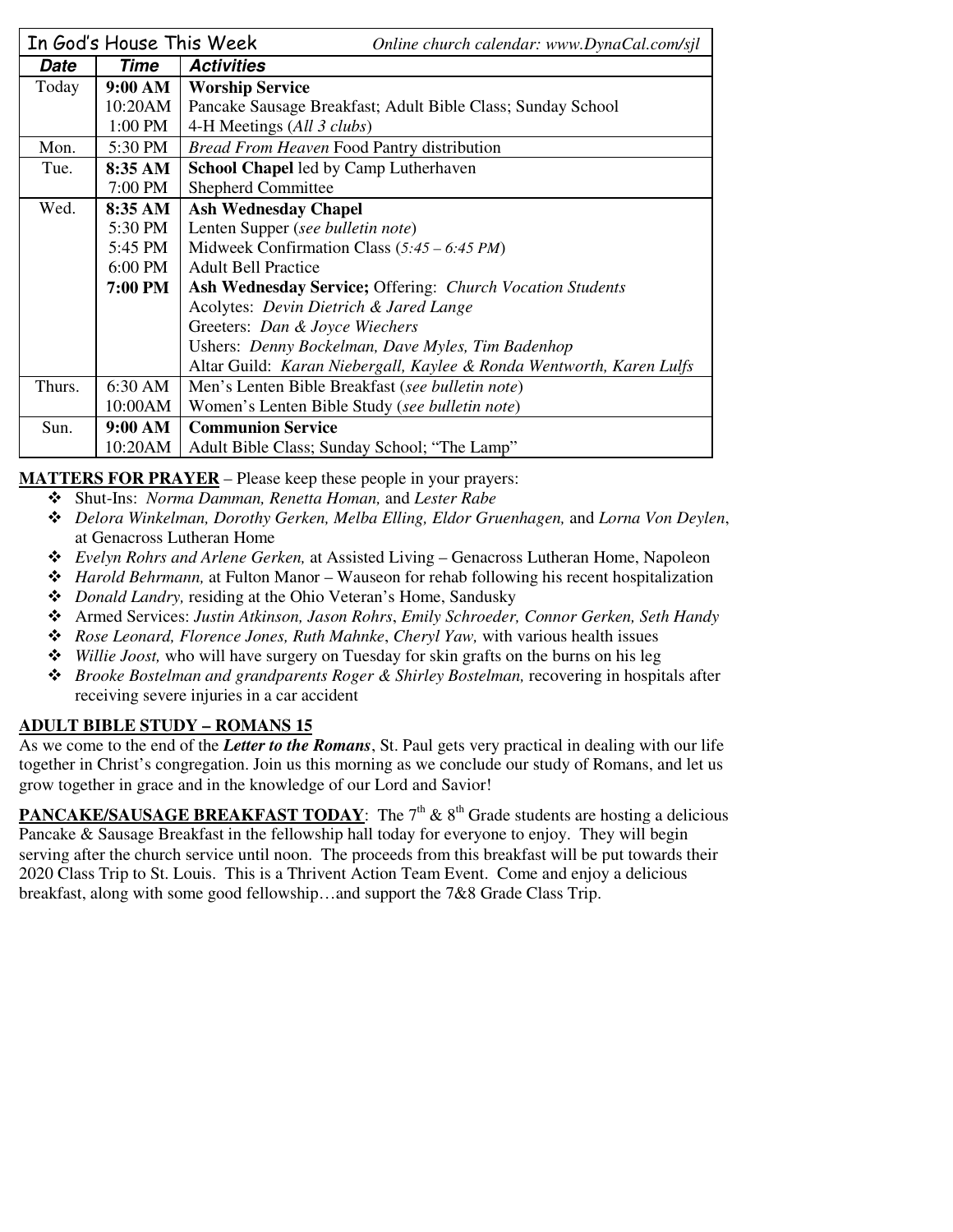|        | In God's House This Week                                    | Online church calendar: www.DynaCal.com/sjl                          |  |  |
|--------|-------------------------------------------------------------|----------------------------------------------------------------------|--|--|
| Date   | Time                                                        | <b>Activities</b>                                                    |  |  |
| Today  | 9:00 AM                                                     | <b>Worship Service</b>                                               |  |  |
|        | 10:20AM                                                     | Pancake Sausage Breakfast; Adult Bible Class; Sunday School          |  |  |
|        | 1:00 PM                                                     | 4-H Meetings (All 3 clubs)                                           |  |  |
| Mon.   | 5:30 PM                                                     | Bread From Heaven Food Pantry distribution                           |  |  |
| Tue.   | 8:35 AM                                                     | <b>School Chapel</b> led by Camp Lutherhaven                         |  |  |
|        | 7:00 PM                                                     | <b>Shepherd Committee</b>                                            |  |  |
| Wed.   | 8:35 AM                                                     | <b>Ash Wednesday Chapel</b>                                          |  |  |
|        | 5:30 PM                                                     | Lenten Supper (see bulletin note)                                    |  |  |
|        | 5:45 PM                                                     | Midweek Confirmation Class $(5:45 - 6:45 PM)$                        |  |  |
|        | 6:00 PM                                                     | <b>Adult Bell Practice</b>                                           |  |  |
|        | 7:00 PM                                                     | <b>Ash Wednesday Service; Offering: Church Vocation Students</b>     |  |  |
|        |                                                             | Acolytes: Devin Dietrich & Jared Lange                               |  |  |
|        |                                                             | Greeters: Dan & Joyce Wiechers                                       |  |  |
|        |                                                             | Ushers: Denny Bockelman, Dave Myles, Tim Badenhop                    |  |  |
|        |                                                             | Altar Guild: Karan Niebergall, Kaylee & Ronda Wentworth, Karen Lulfs |  |  |
| Thurs. | 6:30 AM<br>Men's Lenten Bible Breakfast (see bulletin note) |                                                                      |  |  |
|        | 10:00AM                                                     | Women's Lenten Bible Study (see bulletin note)                       |  |  |
| Sun.   | 9:00 AM                                                     | <b>Communion Service</b>                                             |  |  |
|        | 10:20AM                                                     | Adult Bible Class; Sunday School; "The Lamp"                         |  |  |

**MATTERS FOR PRAYER** – Please keep these people in your prayers:

- Shut-Ins: *Norma Damman, Renetta Homan,* and *Lester Rabe*
- *Delora Winkelman, Dorothy Gerken, Melba Elling, Eldor Gruenhagen,* and *Lorna Von Deylen*, at Genacross Lutheran Home
- *Evelyn Rohrs and Arlene Gerken,* at Assisted Living Genacross Lutheran Home, Napoleon
- *Harold Behrmann,* at Fulton Manor Wauseon for rehab following his recent hospitalization
- *Donald Landry,* residing at the Ohio Veteran's Home, Sandusky
- Armed Services: *Justin Atkinson, Jason Rohrs*, *Emily Schroeder, Connor Gerken, Seth Handy*
- *Rose Leonard, Florence Jones, Ruth Mahnke*, *Cheryl Yaw,* with various health issues
- *Willie Joost,* who will have surgery on Tuesday for skin grafts on the burns on his leg
- *Brooke Bostelman and grandparents Roger & Shirley Bostelman,* recovering in hospitals after receiving severe injuries in a car accident

# **ADULT BIBLE STUDY – ROMANS 15**

As we come to the end of the *Letter to the Romans*, St. Paul gets very practical in dealing with our life together in Christ's congregation. Join us this morning as we conclude our study of Romans, and let us grow together in grace and in the knowledge of our Lord and Savior!

**PANCAKE/SAUSAGE BREAKFAST TODAY:** The  $7<sup>th</sup>$  &  $8<sup>th</sup>$  Grade students are hosting a delicious Pancake & Sausage Breakfast in the fellowship hall today for everyone to enjoy. They will begin serving after the church service until noon. The proceeds from this breakfast will be put towards their 2020 Class Trip to St. Louis. This is a Thrivent Action Team Event. Come and enjoy a delicious breakfast, along with some good fellowship…and support the 7&8 Grade Class Trip.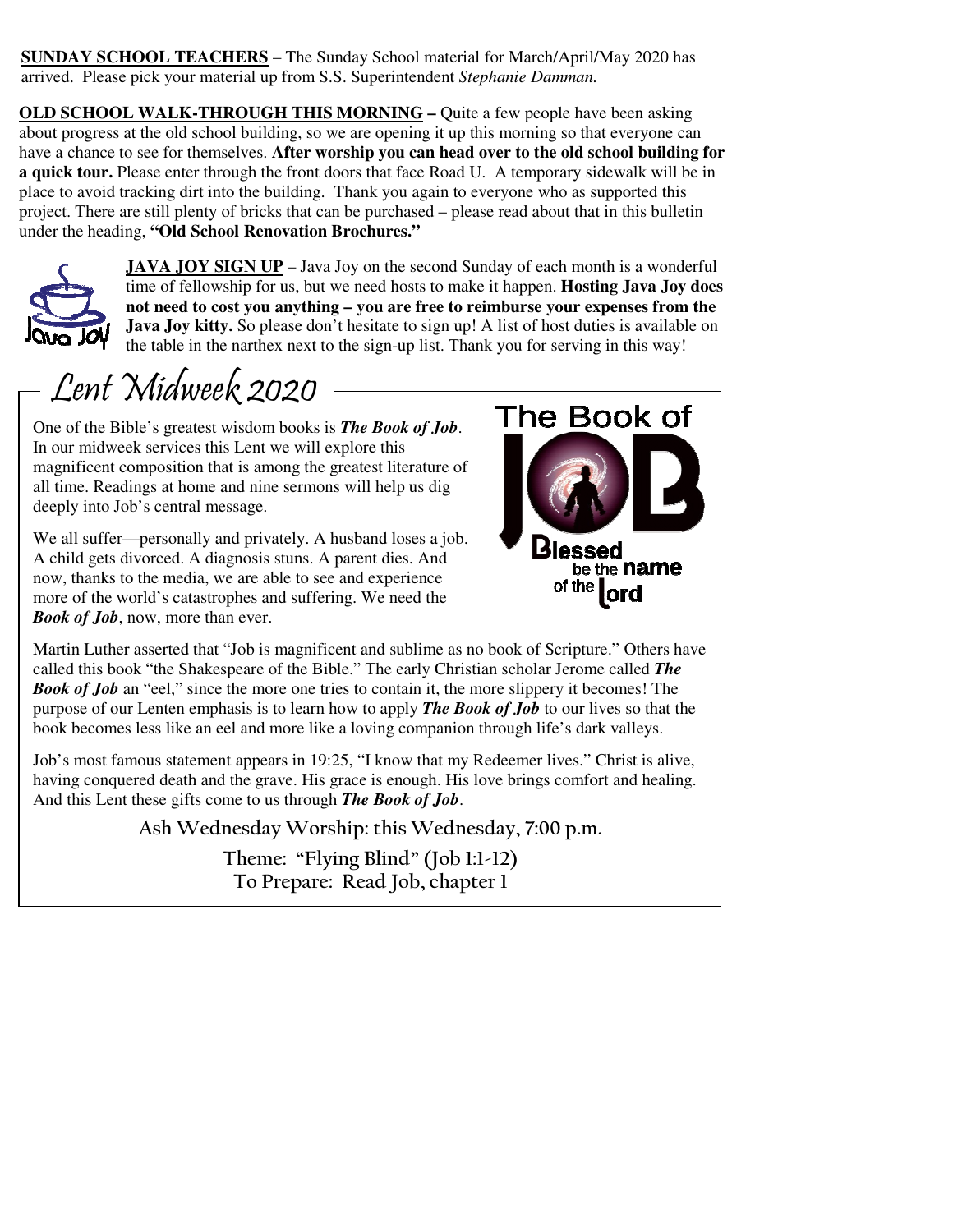**SUNDAY SCHOOL TEACHERS** – The Sunday School material for March/April/May 2020 has arrived. Please pick your material up from S.S. Superintendent *Stephanie Damman.*

**OLD SCHOOL WALK-THROUGH THIS MORNING – Quite a few people have been asking** about progress at the old school building, so we are opening it up this morning so that everyone can have a chance to see for themselves. **After worship you can head over to the old school building for a quick tour.** Please enter through the front doors that face Road U. A temporary sidewalk will be in place to avoid tracking dirt into the building. Thank you again to everyone who as supported this project. There are still plenty of bricks that can be purchased – please read about that in this bulletin under the heading, **"Old School Renovation Brochures."** 



**JAVA JOY SIGN UP** – Java Joy on the second Sunday of each month is a wonderful time of fellowship for us, but we need hosts to make it happen. **Hosting Java Joy does not need to cost you anything – you are free to reimburse your expenses from the**  Java Joy kitty. So please don't hesitate to sign up! A list of host duties is available on the table in the narthex next to the sign-up list. Thank you for serving in this way!

# Lent Midweek 2020

One of the Bible's greatest wisdom books is *The Book of Job*. In our midweek services this Lent we will explore this magnificent composition that is among the greatest literature of all time. Readings at home and nine sermons will help us dig deeply into Job's central message.

We all suffer—personally and privately. A husband loses a job. A child gets divorced. A diagnosis stuns. A parent dies. And now, thanks to the media, we are able to see and experience more of the world's catastrophes and suffering. We need the *Book of Job*, now, more than ever.



Martin Luther asserted that "Job is magnificent and sublime as no book of Scripture." Others have called this book "the Shakespeare of the Bible." The early Christian scholar Jerome called *The Book of Job* an "eel," since the more one tries to contain it, the more slippery it becomes! The purpose of our Lenten emphasis is to learn how to apply *The Book of Job* to our lives so that the book becomes less like an eel and more like a loving companion through life's dark valleys.

Job's most famous statement appears in 19:25, "I know that my Redeemer lives." Christ is alive, having conquered death and the grave. His grace is enough. His love brings comfort and healing. And this Lent these gifts come to us through *The Book of Job*.

**Ash Wednesday Worship: this Wednesday, 7:00 p.m.** 

**Theme: "Flying Blind" (Job 1:1-12) To Prepare: Read Job, chapter 1**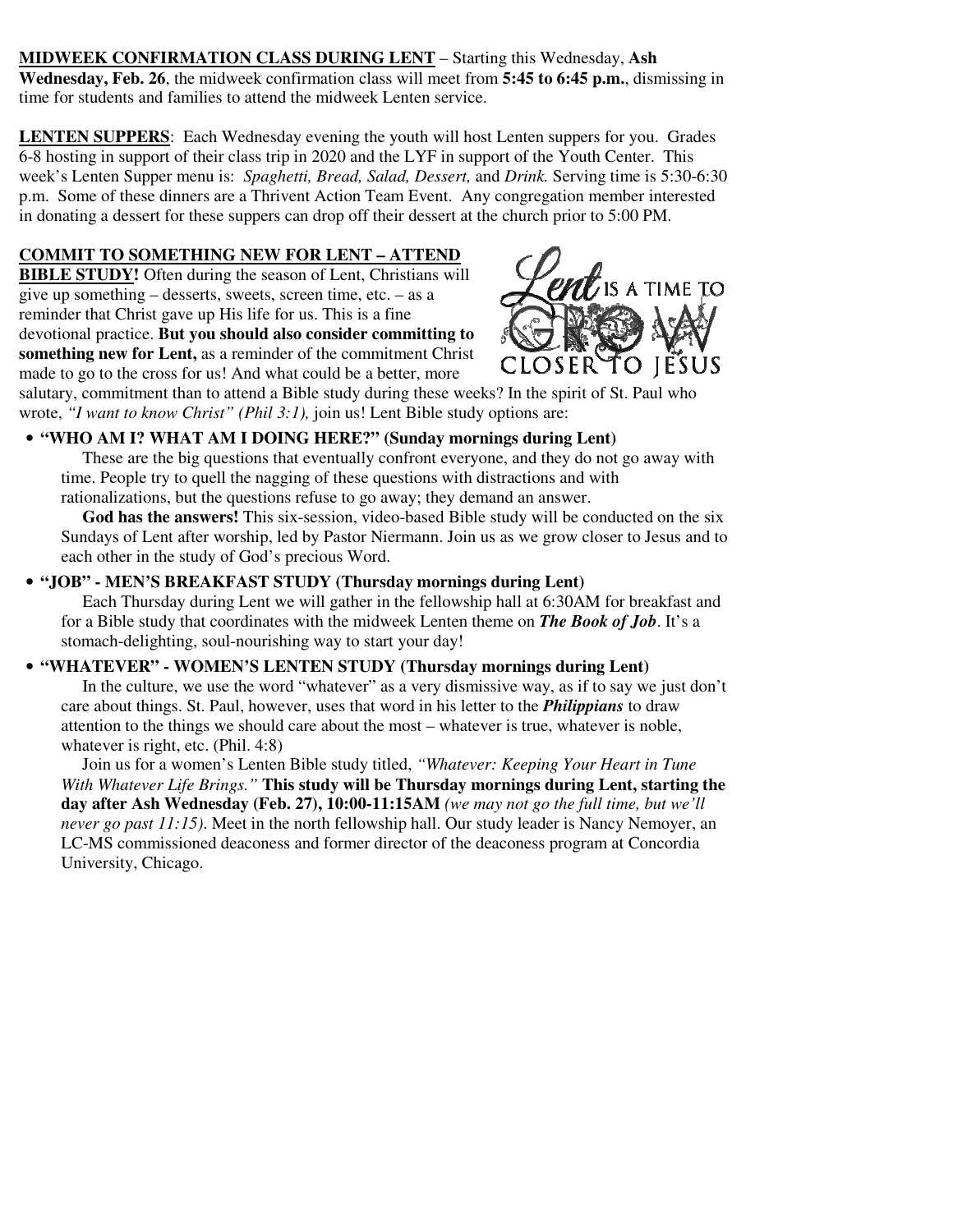**MIDWEEK CONFIRMATION CLASS DURING LENT** – Starting this Wednesday, **Ash Wednesday, Feb. 26**, the midweek confirmation class will meet from **5:45 to 6:45 p.m.**, dismissing in time for students and families to attend the midweek Lenten service.

**LENTEN SUPPERS**: Each Wednesday evening the youth will host Lenten suppers for you. Grades 6-8 hosting in support of their class trip in 2020 and the LYF in support of the Youth Center. This week's Lenten Supper menu is: *Spaghetti, Bread, Salad, Dessert,* and *Drink.* Serving time is 5:30-6:30 p.m. Some of these dinners are a Thrivent Action Team Event. Any congregation member interested in donating a dessert for these suppers can drop off their dessert at the church prior to 5:00 PM.

# **COMMIT TO SOMETHING NEW FOR LENT – ATTEND**

**BIBLE STUDY!** Often during the season of Lent, Christians will give up something – desserts, sweets, screen time, etc. – as a reminder that Christ gave up His life for us. This is a fine devotional practice. **But you should also consider committing to something new for Lent,** as a reminder of the commitment Christ made to go to the cross for us! And what could be a better, more



salutary, commitment than to attend a Bible study during these weeks? In the spirit of St. Paul who wrote, *"I want to know Christ" (Phil 3:1),* join us! Lent Bible study options are:

# • **"WHO AM I? WHAT AM I DOING HERE?" (Sunday mornings during Lent)**

 These are the big questions that eventually confront everyone, and they do not go away with time. People try to quell the nagging of these questions with distractions and with rationalizations, but the questions refuse to go away; they demand an answer.

 **God has the answers!** This six-session, video-based Bible study will be conducted on the six Sundays of Lent after worship, led by Pastor Niermann. Join us as we grow closer to Jesus and to each other in the study of God's precious Word.

#### • **"JOB" - MEN'S BREAKFAST STUDY (Thursday mornings during Lent)**

 Each Thursday during Lent we will gather in the fellowship hall at 6:30AM for breakfast and for a Bible study that coordinates with the midweek Lenten theme on *The Book of Job*. It's a stomach-delighting, soul-nourishing way to start your day!

#### • **"WHATEVER" - WOMEN'S LENTEN STUDY (Thursday mornings during Lent)**

 In the culture, we use the word "whatever" as a very dismissive way, as if to say we just don't care about things. St. Paul, however, uses that word in his letter to the *Philippians* to draw attention to the things we should care about the most – whatever is true, whatever is noble, whatever is right, etc. (Phil. 4:8)

 Join us for a women's Lenten Bible study titled, *"Whatever: Keeping Your Heart in Tune With Whatever Life Brings."* **This study will be Thursday mornings during Lent, starting the day after Ash Wednesday (Feb. 27), 10:00-11:15AM** *(we may not go the full time, but we'll never go past 11:15)*. Meet in the north fellowship hall. Our study leader is Nancy Nemoyer, an LC-MS commissioned deaconess and former director of the deaconess program at Concordia University, Chicago.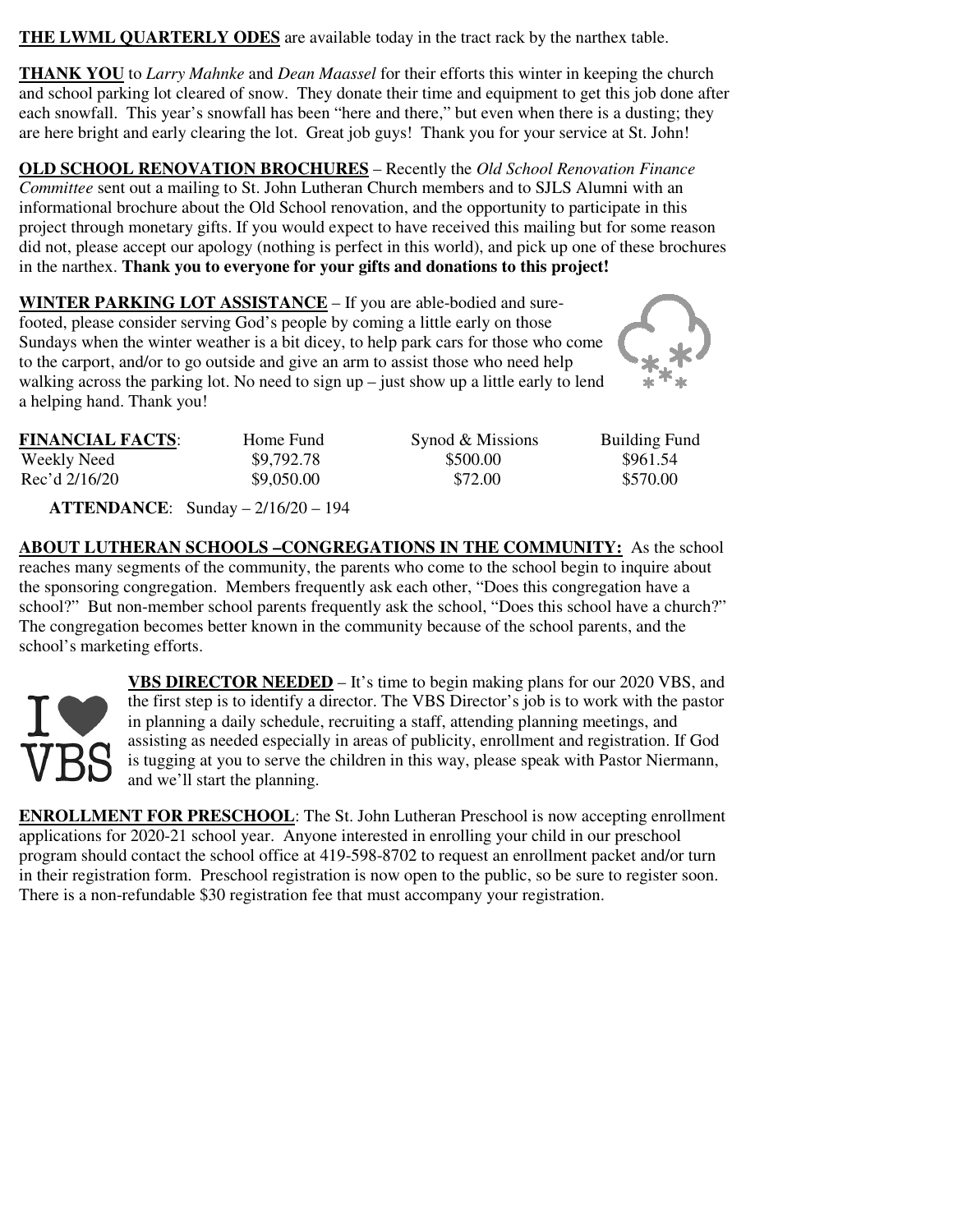**THE LWML QUARTERLY ODES** are available today in the tract rack by the narthex table.

**THANK YOU** to *Larry Mahnke* and *Dean Maassel* for their efforts this winter in keeping the church and school parking lot cleared of snow. They donate their time and equipment to get this job done after each snowfall. This year's snowfall has been "here and there," but even when there is a dusting; they are here bright and early clearing the lot. Great job guys! Thank you for your service at St. John!

**OLD SCHOOL RENOVATION BROCHURES** – Recently the *Old School Renovation Finance Committee* sent out a mailing to St. John Lutheran Church members and to SJLS Alumni with an informational brochure about the Old School renovation, and the opportunity to participate in this project through monetary gifts. If you would expect to have received this mailing but for some reason did not, please accept our apology (nothing is perfect in this world), and pick up one of these brochures in the narthex. **Thank you to everyone for your gifts and donations to this project!** 

**WINTER PARKING LOT ASSISTANCE** – If you are able-bodied and surefooted, please consider serving God's people by coming a little early on those Sundays when the winter weather is a bit dicey, to help park cars for those who come to the carport, and/or to go outside and give an arm to assist those who need help walking across the parking lot. No need to sign  $up$  – just show up a little early to lend a helping hand. Thank you!



| <b>FINANCIAL FACTS:</b>   | Home Fund  | Synod & Missions | <b>Building Fund</b> |
|---------------------------|------------|------------------|----------------------|
| Weekly Need               | \$9,792.78 | \$500.00         | \$961.54             |
| $Rec' d \frac{2}{16}{20}$ | \$9,050.00 | \$72.00          | \$570.00             |

 **ATTENDANCE**: Sunday – 2/16/20 – 194

**ABOUT LUTHERAN SCHOOLS –CONGREGATIONS IN THE COMMUNITY:** As the school reaches many segments of the community, the parents who come to the school begin to inquire about the sponsoring congregation. Members frequently ask each other, "Does this congregation have a school?" But non-member school parents frequently ask the school, "Does this school have a church?" The congregation becomes better known in the community because of the school parents, and the school's marketing efforts.



**VBS DIRECTOR NEEDED** – It's time to begin making plans for our 2020 VBS, and the first step is to identify a director. The VBS Director's job is to work with the pastor in planning a daily schedule, recruiting a staff, attending planning meetings, and assisting as needed especially in areas of publicity, enrollment and registration. If God is tugging at you to serve the children in this way, please speak with Pastor Niermann, and we'll start the planning.

**ENROLLMENT FOR PRESCHOOL**: The St. John Lutheran Preschool is now accepting enrollment applications for 2020-21 school year. Anyone interested in enrolling your child in our preschool program should contact the school office at 419-598-8702 to request an enrollment packet and/or turn in their registration form. Preschool registration is now open to the public, so be sure to register soon. There is a non-refundable \$30 registration fee that must accompany your registration.